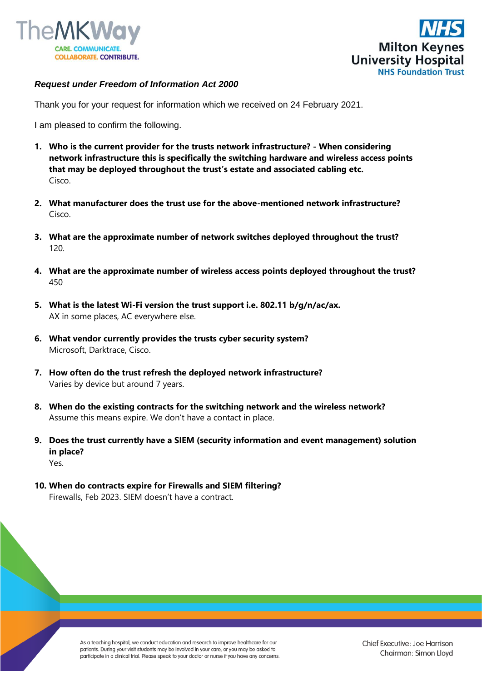



## *Request under Freedom of Information Act 2000*

Thank you for your request for information which we received on 24 February 2021.

I am pleased to confirm the following.

- **1. Who is the current provider for the trusts network infrastructure? - When considering network infrastructure this is specifically the switching hardware and wireless access points that may be deployed throughout the trust's estate and associated cabling etc.**  Cisco.
- **2. What manufacturer does the trust use for the above-mentioned network infrastructure?**  Cisco.
- **3. What are the approximate number of network switches deployed throughout the trust?**  120.
- **4. What are the approximate number of wireless access points deployed throughout the trust?**  450
- **5. What is the latest Wi-Fi version the trust support i.e. 802.11 b/g/n/ac/ax.**  AX in some places, AC everywhere else.
- **6. What vendor currently provides the trusts cyber security system?**  Microsoft, Darktrace, Cisco.
- **7. How often do the trust refresh the deployed network infrastructure?**  Varies by device but around 7 years.
- **8. When do the existing contracts for the switching network and the wireless network?**  Assume this means expire. We don't have a contact in place.
- **9. Does the trust currently have a SIEM (security information and event management) solution in place?**  Yes.
- **10. When do contracts expire for Firewalls and SIEM filtering?**  Firewalls, Feb 2023. SIEM doesn't have a contract.

As a teaching hospital, we conduct education and research to improve healthcare for our patients. During your visit students may be involved in your care, or you may be asked to participate in a clinical trial. Please speak to your doctor or nurse if you have any concerns.